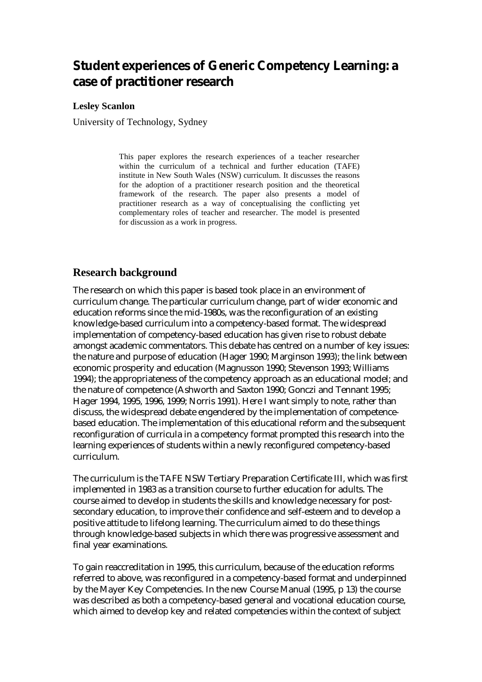# **Student experiences of Generic Competency Learning: a case of practitioner research**

#### **Lesley Scanlon**

University of Technology, Sydney

This paper explores the research experiences of a teacher researcher within the curriculum of a technical and further education (TAFE) institute in New South Wales (NSW) curriculum. It discusses the reasons for the adoption of a practitioner research position and the theoretical framework of the research. The paper also presents a model of practitioner research as a way of conceptualising the conflicting yet complementary roles of teacher and researcher. The model is presented for discussion as a work in progress.

#### **Research background**

The research on which this paper is based took place in an environment of curriculum change. The particular curriculum change, part of wider economic and education reforms since the mid-1980s, was the reconfiguration of an existing knowledge-based curriculum into a competency-based format. The widespread implementation of competency-based education has given rise to robust debate amongst academic commentators. This debate has centred on a number of key issues: the nature and purpose of education (Hager 1990; Marginson 1993); the link between economic prosperity and education (Magnusson 1990; Stevenson 1993; Williams 1994); the appropriateness of the competency approach as an educational model; and the nature of competence (Ashworth and Saxton 1990; Gonczi and Tennant 1995; Hager 1994, 1995, 1996, 1999; Norris 1991). Here I want simply to note, rather than discuss, the widespread debate engendered by the implementation of competencebased education. The implementation of this educational reform and the subsequent reconfiguration of curricula in a competency format prompted this research into the learning experiences of students within a newly reconfigured competency-based curriculum.

The curriculum is the TAFE NSW Tertiary Preparation Certificate III, which was first implemented in 1983 as a transition course to further education for adults. The course aimed to develop in students the skills and knowledge necessary for postsecondary education, to improve their confidence and self-esteem and to develop a positive attitude to lifelong learning. The curriculum aimed to do these things through knowledge-based subjects in which there was progressive assessment and final year examinations.

To gain reaccreditation in 1995, this curriculum, because of the education reforms referred to above, was reconfigured in a competency-based format and underpinned by the Mayer Key Competencies. In the new Course Manual (1995, p 13) the course was described as both a competency-based general and vocational education course, which aimed to develop key and related competencies within the context of subject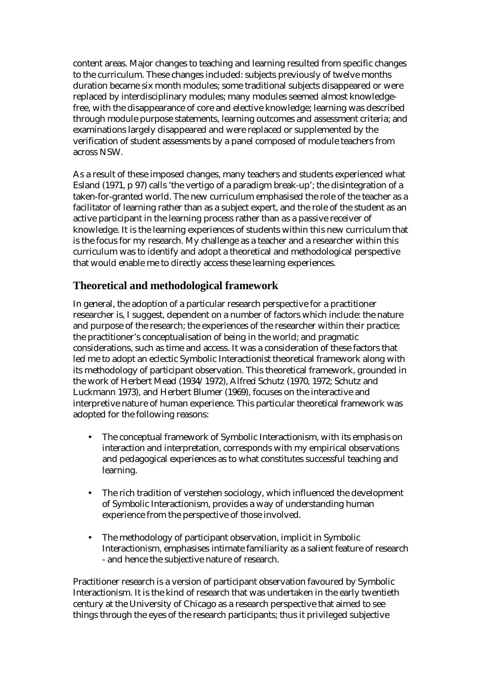content areas. Major changes to teaching and learning resulted from specific changes to the curriculum. These changes included: subjects previously of twelve months duration became six month modules; some traditional subjects disappeared or were replaced by interdisciplinary modules; many modules seemed almost knowledgefree, with the disappearance of core and elective knowledge; learning was described through module purpose statements, learning outcomes and assessment criteria; and examinations largely disappeared and were replaced or supplemented by the verification of student assessments by a panel composed of module teachers from across NSW.

As a result of these imposed changes, many teachers and students experienced what Esland (1971, p 97) calls 'the vertigo of a paradigm break-up'; the disintegration of a taken-for-granted world. The new curriculum emphasised the role of the teacher as a facilitator of learning rather than as a subject expert, and the role of the student as an active participant in the learning process rather than as a passive receiver of knowledge. It is the learning experiences of students within this new curriculum that is the focus for my research. My challenge as a teacher and a researcher within this curriculum was to identify and adopt a theoretical and methodological perspective that would enable me to directly access these learning experiences.

## **Theoretical and methodological framework**

In general, the adoption of a particular research perspective for a practitioner researcher is, I suggest, dependent on a number of factors which include: the nature and purpose of the research; the experiences of the researcher within their practice; the practitioner's conceptualisation of being in the world; and pragmatic considerations, such as time and access. It was a consideration of these factors that led me to adopt an eclectic Symbolic Interactionist theoretical framework along with its methodology of participant observation. This theoretical framework, grounded in the work of Herbert Mead (1934/1972), Alfred Schutz (1970, 1972; Schutz and Luckmann 1973), and Herbert Blumer (1969), focuses on the interactive and interpretive nature of human experience. This particular theoretical framework was adopted for the following reasons:

- The conceptual framework of Symbolic Interactionism, with its emphasis on interaction and interpretation, corresponds with my empirical observations and pedagogical experiences as to what constitutes successful teaching and learning.
- The rich tradition of verstehen sociology, which influenced the development of Symbolic Interactionism, provides a way of understanding human experience from the perspective of those involved.
- The methodology of participant observation, implicit in Symbolic Interactionism, emphasises intimate familiarity as a salient feature of research - and hence the subjective nature of research.

Practitioner research is a version of participant observation favoured by Symbolic Interactionism. It is the kind of research that was undertaken in the early twentieth century at the University of Chicago as a research perspective that aimed to see things through the eyes of the research participants; thus it privileged subjective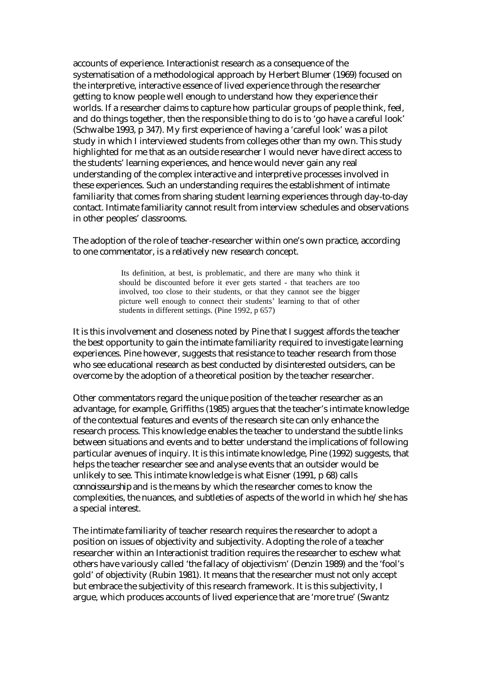accounts of experience. Interactionist research as a consequence of the systematisation of a methodological approach by Herbert Blumer (1969) focused on the interpretive, interactive essence of lived experience through the researcher getting to know people well enough to understand how they experience their worlds. If a researcher claims to capture how particular groups of people think, feel, and do things together, then the responsible thing to do is to 'go have a careful look' (Schwalbe 1993, p 347). My first experience of having a 'careful look' was a pilot study in which I interviewed students from colleges other than my own. This study highlighted for me that as an outside researcher I would never have direct access to the students' learning experiences, and hence would never gain any real understanding of the complex interactive and interpretive processes involved in these experiences. Such an understanding requires the establishment of intimate familiarity that comes from sharing student learning experiences through day-to-day contact. Intimate familiarity cannot result from interview schedules and observations in other peoples' classrooms.

The adoption of the role of teacher-researcher within one's own practice, according to one commentator, is a relatively new research concept.

> Its definition, at best, is problematic, and there are many who think it should be discounted before it ever gets started - that teachers are too involved, too close to their students, or that they cannot see the bigger picture well enough to connect their students' learning to that of other students in different settings. (Pine 1992, p 657)

It is this involvement and closeness noted by Pine that I suggest affords the teacher the best opportunity to gain the intimate familiarity required to investigate learning experiences. Pine however, suggests that resistance to teacher research from those who see educational research as best conducted by disinterested outsiders, can be overcome by the adoption of a theoretical position by the teacher researcher.

Other commentators regard the unique position of the teacher researcher as an advantage, for example, Griffiths (1985) argues that the teacher's intimate knowledge of the contextual features and events of the research site can only enhance the research process. This knowledge enables the teacher to understand the subtle links between situations and events and to better understand the implications of following particular avenues of inquiry. It is this intimate knowledge, Pine (1992) suggests, that helps the teacher researcher see and analyse events that an outsider would be unlikely to see. This intimate knowledge is what Eisner (1991, p 68) calls *connoisseurship* and is the means by which the researcher comes to know the complexities, the nuances, and subtleties of aspects of the world in which he/she has a special interest.

The intimate familiarity of teacher research requires the researcher to adopt a position on issues of objectivity and subjectivity. Adopting the role of a teacher researcher within an Interactionist tradition requires the researcher to eschew what others have variously called 'the fallacy of objectivism' (Denzin 1989) and the 'fool's gold' of objectivity (Rubin 1981). It means that the researcher must not only accept but embrace the subjectivity of this research framework. It is this subjectivity, I argue, which produces accounts of lived experience that are 'more true' (Swantz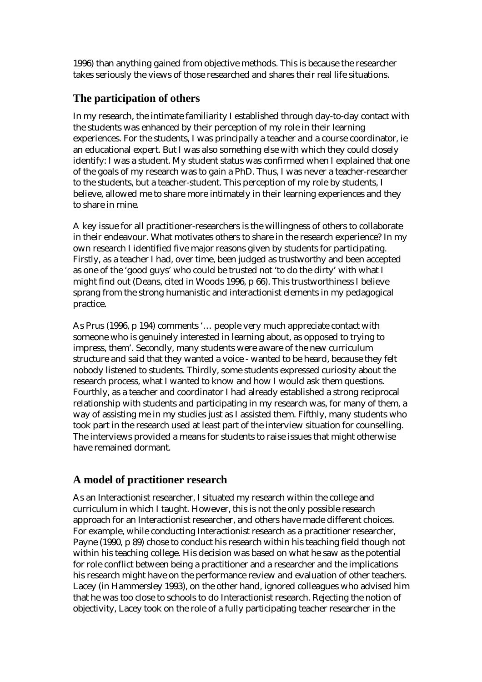1996) than anything gained from objective methods. This is because the researcher takes seriously the views of those researched and shares their real life situations.

#### **The participation of others**

In my research, the intimate familiarity I established through day-to-day contact with the students was enhanced by their perception of my role in their learning experiences. For the students, I was principally a teacher and a course coordinator, ie an educational expert. But I was also something else with which they could closely identify: I was a student. My student status was confirmed when I explained that one of the goals of my research was to gain a PhD. Thus, I was never a teacher-researcher to the students, but a teacher-student. This perception of my role by students, I believe, allowed me to share more intimately in their learning experiences and they to share in mine.

A key issue for all practitioner-researchers is the willingness of others to collaborate in their endeavour. What motivates others to share in the research experience? In my own research I identified five major reasons given by students for participating. Firstly, as a teacher I had, over time, been judged as trustworthy and been accepted as one of the 'good guys' who could be trusted not 'to do the dirty' with what I might find out (Deans, cited in Woods 1996, p 66). This trustworthiness I believe sprang from the strong humanistic and interactionist elements in my pedagogical practice.

As Prus (1996, p 194) comments '… people very much appreciate contact with someone who is genuinely interested in learning about, as opposed to trying to impress, them'. Secondly, many students were aware of the new curriculum structure and said that they wanted a voice - wanted to be heard, because they felt nobody listened to students. Thirdly, some students expressed curiosity about the research process, what I wanted to know and how I would ask them questions. Fourthly, as a teacher and coordinator I had already established a strong reciprocal relationship with students and participating in my research was, for many of them, a way of assisting me in my studies just as I assisted them. Fifthly, many students who took part in the research used at least part of the interview situation for counselling. The interviews provided a means for students to raise issues that might otherwise have remained dormant.

### **A model of practitioner research**

As an Interactionist researcher, I situated my research within the college and curriculum in which I taught. However, this is not the only possible research approach for an Interactionist researcher, and others have made different choices. For example, while conducting Interactionist research as a practitioner researcher, Payne (1990, p 89) chose to conduct his research within his teaching field though not within his teaching college. His decision was based on what he saw as the potential for role conflict between being a practitioner and a researcher and the implications his research might have on the performance review and evaluation of other teachers. Lacey (in Hammersley 1993), on the other hand, ignored colleagues who advised him that he was too close to schools to do Interactionist research. Rejecting the notion of objectivity, Lacey took on the role of a fully participating teacher researcher in the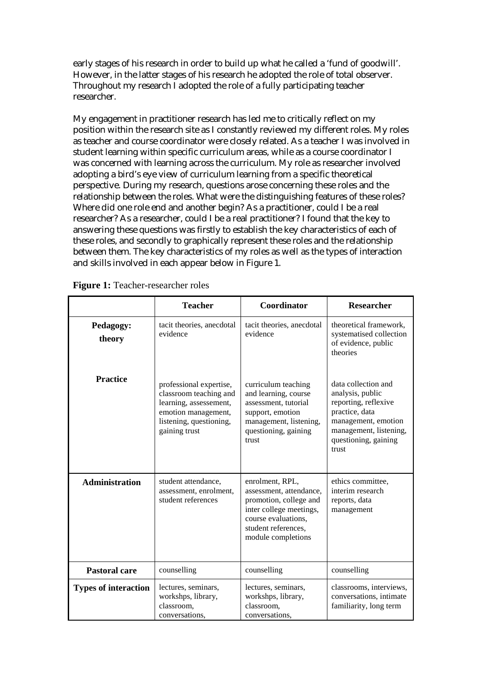early stages of his research in order to build up what he called a 'fund of goodwill'. However, in the latter stages of his research he adopted the role of total observer. Throughout my research I adopted the role of a fully participating teacher researcher.

My engagement in practitioner research has led me to critically reflect on my position within the research site as I constantly reviewed my different roles. My roles as teacher and course coordinator were closely related. As a teacher I was involved in student learning within specific curriculum areas, while as a course coordinator I was concerned with learning across the curriculum. My role as researcher involved adopting a bird's eye view of curriculum learning from a specific theoretical perspective. During my research, questions arose concerning these roles and the relationship between the roles. What were the distinguishing features of these roles? Where did one role end and another begin? As a practitioner, could I be a real researcher? As a researcher, could I be a real practitioner? I found that the key to answering these questions was firstly to establish the key characteristics of each of these roles, and secondly to graphically represent these roles and the relationship between them. The key characteristics of my roles as well as the types of interaction and skills involved in each appear below in Figure 1.

|                             | <b>Teacher</b>                                                                                                                                 | Coordinator                                                                                                                                                         | <b>Researcher</b>                                                                                                                                                   |
|-----------------------------|------------------------------------------------------------------------------------------------------------------------------------------------|---------------------------------------------------------------------------------------------------------------------------------------------------------------------|---------------------------------------------------------------------------------------------------------------------------------------------------------------------|
| Pedagogy:<br>theory         | tacit theories, anecdotal<br>evidence                                                                                                          | tacit theories, anecdotal<br>evidence                                                                                                                               | theoretical framework,<br>systematised collection<br>of evidence, public<br>theories                                                                                |
| <b>Practice</b>             | professional expertise,<br>classroom teaching and<br>learning, assessement,<br>emotion management,<br>listening, questioning,<br>gaining trust | curriculum teaching<br>and learning, course<br>assessment, tutorial<br>support, emotion<br>management, listening,<br>questioning, gaining<br>trust                  | data collection and<br>analysis, public<br>reporting, reflexive<br>practice, data<br>management, emotion<br>management, listening,<br>questioning, gaining<br>trust |
| <b>Administration</b>       | student attendance,<br>assessment, enrolment,<br>student references                                                                            | enrolment, RPL,<br>assessment, attendance,<br>promotion, college and<br>inter college meetings,<br>course evaluations,<br>student references,<br>module completions | ethics committee,<br>interim research<br>reports, data<br>management                                                                                                |
| <b>Pastoral care</b>        | counselling                                                                                                                                    | counselling                                                                                                                                                         | counselling                                                                                                                                                         |
| <b>Types of interaction</b> | lectures, seminars,<br>workshps, library,<br>classroom,<br>conversations,                                                                      | lectures, seminars,<br>workshps, library,<br>classroom,<br>conversations,                                                                                           | classrooms, interviews,<br>conversations, intimate<br>familiarity, long term                                                                                        |

|  |  |  | Figure 1: Teacher-researcher roles |  |
|--|--|--|------------------------------------|--|
|--|--|--|------------------------------------|--|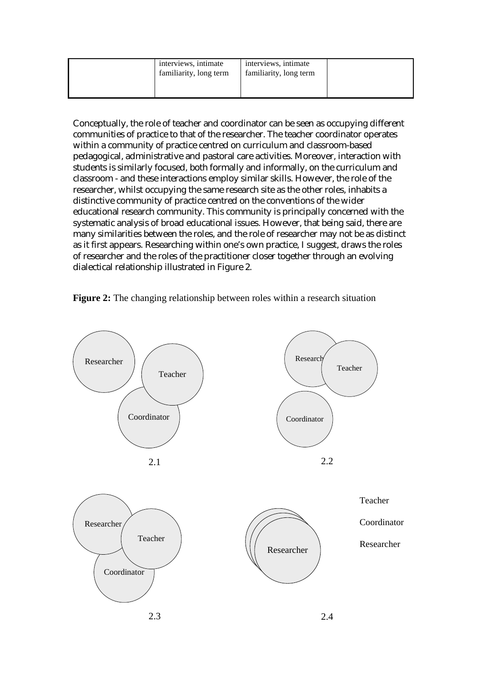| interviews, intimate<br>familiarity, long term | interviews, intimate<br>familiarity, long term |  |
|------------------------------------------------|------------------------------------------------|--|
|                                                |                                                |  |

Conceptually, the role of teacher and coordinator can be seen as occupying different communities of practice to that of the researcher. The teacher coordinator operates within a community of practice centred on curriculum and classroom-based pedagogical, administrative and pastoral care activities. Moreover, interaction with students is similarly focused, both formally and informally, on the curriculum and classroom - and these interactions employ similar skills. However, the role of the researcher, whilst occupying the same research site as the other roles, inhabits a distinctive community of practice centred on the conventions of the wider educational research community. This community is principally concerned with the systematic analysis of broad educational issues. However, that being said, there are many similarities between the roles, and the role of researcher may not be as distinct as it first appears. Researching within one's own practice, I suggest, draws the roles of researcher and the roles of the practitioner closer together through an evolving dialectical relationship illustrated in Figure 2.



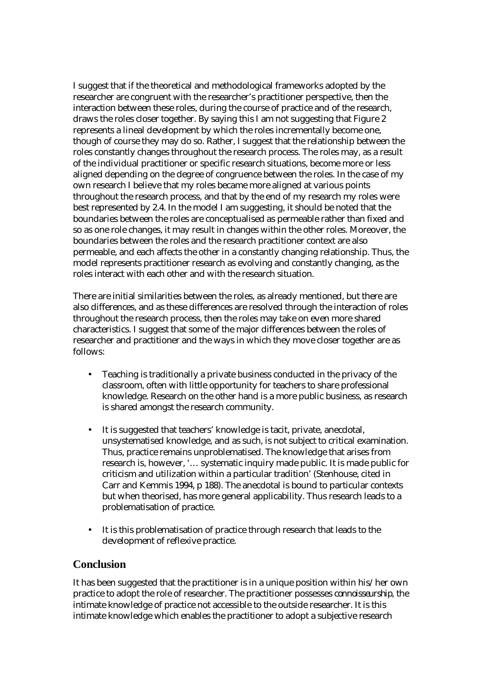I suggest that if the theoretical and methodological frameworks adopted by the researcher are congruent with the researcher's practitioner perspective, then the interaction between these roles, during the course of practice and of the research, draws the roles closer together. By saying this I am not suggesting that Figure 2 represents a lineal development by which the roles incrementally become one, though of course they may do so. Rather, I suggest that the relationship between the roles constantly changes throughout the research process. The roles may, as a result of the individual practitioner or specific research situations, become more or less aligned depending on the degree of congruence between the roles. In the case of my own research I believe that my roles became more aligned at various points throughout the research process, and that by the end of my research my roles were best represented by 2.4. In the model I am suggesting, it should be noted that the boundaries between the roles are conceptualised as permeable rather than fixed and so as one role changes, it may result in changes within the other roles. Moreover, the boundaries between the roles and the research practitioner context are also permeable, and each affects the other in a constantly changing relationship. Thus, the model represents practitioner research as evolving and constantly changing, as the roles interact with each other and with the research situation.

There are initial similarities between the roles, as already mentioned, but there are also differences, and as these differences are resolved through the interaction of roles throughout the research process, then the roles may take on even more shared characteristics. I suggest that some of the major differences between the roles of researcher and practitioner and the ways in which they move closer together are as follows:

- Teaching is traditionally a private business conducted in the privacy of the classroom, often with little opportunity for teachers to share professional knowledge. Research on the other hand is a more public business, as research is shared amongst the research community.
- It is suggested that teachers' knowledge is tacit, private, anecdotal, unsystematised knowledge, and as such, is not subject to critical examination. Thus, practice remains unproblematised. The knowledge that arises from research is, however, '… systematic inquiry made public. It is made public for criticism and utilization within a particular tradition' (Stenhouse, cited in Carr and Kemmis 1994, p 188). The anecdotal is bound to particular contexts but when theorised, has more general applicability. Thus research leads to a problematisation of practice.
- It is this problematisation of practice through research that leads to the development of reflexive practice.

#### **Conclusion**

It has been suggested that the practitioner is in a unique position within his/her own practice to adopt the role of researcher. The practitioner possesses *connoisseurship*, the intimate knowledge of practice not accessible to the outside researcher. It is this intimate knowledge which enables the practitioner to adopt a subjective research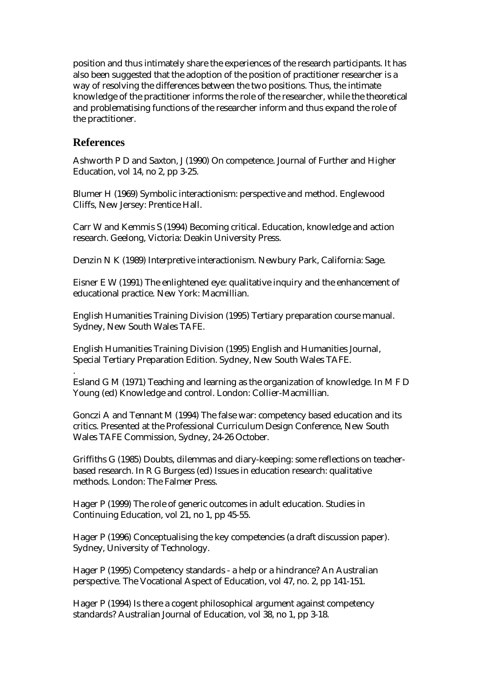position and thus intimately share the experiences of the research participants. It has also been suggested that the adoption of the position of practitioner researcher is a way of resolving the differences between the two positions. Thus, the intimate knowledge of the practitioner informs the role of the researcher, while the theoretical and problematising functions of the researcher inform and thus expand the role of the practitioner.

#### **References**

.

Ashworth P D and Saxton, J (1990) On competence. Journal of Further and Higher Education, vol 14, no 2, pp 3-25.

Blumer H (1969) Symbolic interactionism: perspective and method. Englewood Cliffs, New Jersey: Prentice Hall.

Carr W and Kemmis S (1994) Becoming critical. Education, knowledge and action research. Geelong, Victoria: Deakin University Press.

Denzin N K (1989) Interpretive interactionism. Newbury Park, California: Sage.

Eisner E W (1991) The enlightened eye: qualitative inquiry and the enhancement of educational practice. New York: Macmillian.

English Humanities Training Division (1995) Tertiary preparation course manual. Sydney, New South Wales TAFE.

English Humanities Training Division (1995) English and Humanities Journal, Special Tertiary Preparation Edition. Sydney, New South Wales TAFE.

Esland G M (1971) Teaching and learning as the organization of knowledge. In M F D Young (ed) Knowledge and control. London: Collier-Macmillian.

Gonczi A and Tennant M (1994) The false war: competency based education and its critics. Presented at the Professional Curriculum Design Conference, New South Wales TAFE Commission, Sydney, 24-26 October.

Griffiths G (1985) Doubts, dilemmas and diary-keeping: some reflections on teacherbased research. In R G Burgess (ed) Issues in education research: qualitative methods. London: The Falmer Press.

Hager P (1999) The role of generic outcomes in adult education. Studies in Continuing Education, vol 21, no 1, pp 45-55.

Hager P (1996) Conceptualising the key competencies (a draft discussion paper). Sydney, University of Technology.

Hager P (1995) Competency standards - a help or a hindrance? An Australian perspective. The Vocational Aspect of Education, vol 47, no. 2, pp 141-151.

Hager P (1994) Is there a cogent philosophical argument against competency standards? Australian Journal of Education, vol 38, no 1, pp 3-18.